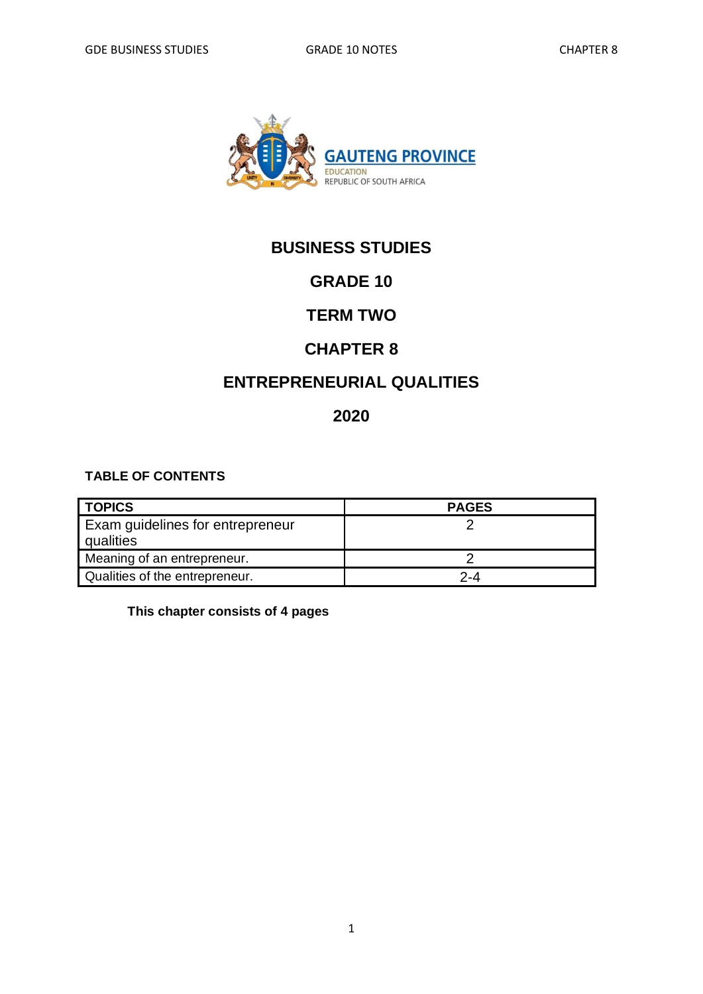

# **BUSINESS STUDIES**

# **GRADE 10**

## **TERM TWO**

### **CHAPTER 8**

## **ENTREPRENEURIAL QUALITIES**

### **2020**

#### **TABLE OF CONTENTS**

| <b>TOPICS</b>                                 | <b>PAGES</b> |
|-----------------------------------------------|--------------|
| Exam guidelines for entrepreneur<br>qualities |              |
| Meaning of an entrepreneur.                   |              |
| Qualities of the entrepreneur.                | 2-4          |

**This chapter consists of 4 pages**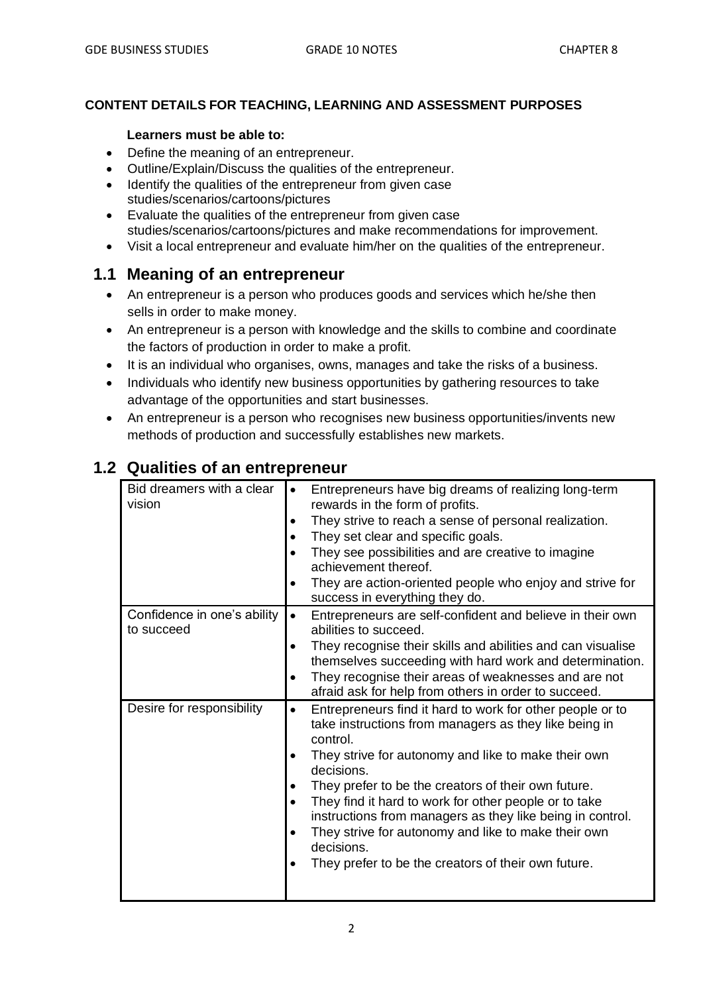#### **CONTENT DETAILS FOR TEACHING, LEARNING AND ASSESSMENT PURPOSES**

#### **Learners must be able to:**

- Define the meaning of an entrepreneur.
- Outline/Explain/Discuss the qualities of the entrepreneur.
- Identify the qualities of the entrepreneur from given case studies/scenarios/cartoons/pictures
- Evaluate the qualities of the entrepreneur from given case studies/scenarios/cartoons/pictures and make recommendations for improvement.
- Visit a local entrepreneur and evaluate him/her on the qualities of the entrepreneur.

### **1.1 Meaning of an entrepreneur**

- An entrepreneur is a person who produces goods and services which he/she then sells in order to make money.
- An entrepreneur is a person with knowledge and the skills to combine and coordinate the factors of production in order to make a profit.
- It is an individual who organises, owns, manages and take the risks of a business.
- Individuals who identify new business opportunities by gathering resources to take advantage of the opportunities and start businesses.
- An entrepreneur is a person who recognises new business opportunities/invents new methods of production and successfully establishes new markets.

| Bid dreamers with a clear<br>vision       | Entrepreneurs have big dreams of realizing long-term<br>rewards in the form of profits.<br>They strive to reach a sense of personal realization.<br>They set clear and specific goals.<br>They see possibilities and are creative to imagine<br>achievement thereof.<br>They are action-oriented people who enjoy and strive for<br>success in everything they do.                                                                                                                                                        |
|-------------------------------------------|---------------------------------------------------------------------------------------------------------------------------------------------------------------------------------------------------------------------------------------------------------------------------------------------------------------------------------------------------------------------------------------------------------------------------------------------------------------------------------------------------------------------------|
| Confidence in one's ability<br>to succeed | Entrepreneurs are self-confident and believe in their own<br>$\bullet$<br>abilities to succeed.<br>They recognise their skills and abilities and can visualise<br>themselves succeeding with hard work and determination.<br>They recognise their areas of weaknesses and are not<br>afraid ask for help from others in order to succeed.                                                                                                                                                                                 |
| Desire for responsibility                 | Entrepreneurs find it hard to work for other people or to<br>$\bullet$<br>take instructions from managers as they like being in<br>control.<br>They strive for autonomy and like to make their own<br>decisions.<br>They prefer to be the creators of their own future.<br>They find it hard to work for other people or to take<br>instructions from managers as they like being in control.<br>They strive for autonomy and like to make their own<br>decisions.<br>They prefer to be the creators of their own future. |

### **1.2 Qualities of an entrepreneur**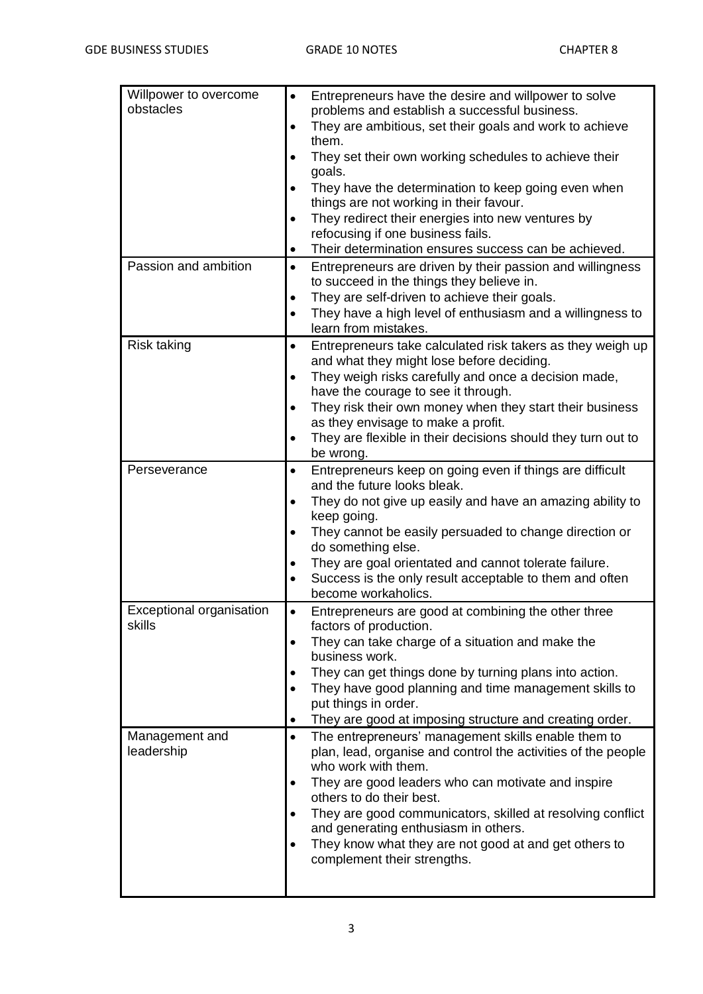| Willpower to overcome    | Entrepreneurs have the desire and willpower to solve<br>$\bullet$                                                    |
|--------------------------|----------------------------------------------------------------------------------------------------------------------|
| obstacles                | problems and establish a successful business.                                                                        |
|                          | They are ambitious, set their goals and work to achieve<br>$\bullet$<br>them.                                        |
|                          | $\bullet$                                                                                                            |
|                          | They set their own working schedules to achieve their<br>goals.                                                      |
|                          | They have the determination to keep going even when<br>$\bullet$                                                     |
|                          | things are not working in their favour.                                                                              |
|                          | They redirect their energies into new ventures by<br>$\bullet$                                                       |
|                          | refocusing if one business fails.                                                                                    |
|                          | Their determination ensures success can be achieved.<br>$\bullet$                                                    |
| Passion and ambition     | Entrepreneurs are driven by their passion and willingness<br>$\bullet$                                               |
|                          | to succeed in the things they believe in.                                                                            |
|                          | They are self-driven to achieve their goals.<br>$\bullet$                                                            |
|                          | They have a high level of enthusiasm and a willingness to<br>$\bullet$                                               |
|                          | learn from mistakes.                                                                                                 |
| Risk taking              | Entrepreneurs take calculated risk takers as they weigh up<br>$\bullet$<br>and what they might lose before deciding. |
|                          | They weigh risks carefully and once a decision made,<br>$\bullet$                                                    |
|                          | have the courage to see it through.                                                                                  |
|                          | They risk their own money when they start their business<br>$\bullet$                                                |
|                          | as they envisage to make a profit.                                                                                   |
|                          | They are flexible in their decisions should they turn out to<br>$\bullet$                                            |
|                          | be wrong.                                                                                                            |
| Perseverance             | Entrepreneurs keep on going even if things are difficult<br>$\bullet$                                                |
|                          | and the future looks bleak.                                                                                          |
|                          | They do not give up easily and have an amazing ability to<br>$\bullet$                                               |
|                          | keep going.<br>They cannot be easily persuaded to change direction or<br>$\bullet$                                   |
|                          | do something else.                                                                                                   |
|                          | They are goal orientated and cannot tolerate failure.                                                                |
|                          | Success is the only result acceptable to them and often<br>$\bullet$                                                 |
|                          | become workaholics.                                                                                                  |
| Exceptional organisation | Entrepreneurs are good at combining the other three                                                                  |
| skills                   | factors of production.                                                                                               |
|                          | They can take charge of a situation and make the<br>$\bullet$<br>business work.                                      |
|                          | They can get things done by turning plans into action.<br>٠                                                          |
|                          | They have good planning and time management skills to<br>$\bullet$                                                   |
|                          | put things in order.                                                                                                 |
|                          | They are good at imposing structure and creating order.<br>٠                                                         |
| Management and           | The entrepreneurs' management skills enable them to<br>$\bullet$                                                     |
| leadership               | plan, lead, organise and control the activities of the people                                                        |
|                          | who work with them.                                                                                                  |
|                          | They are good leaders who can motivate and inspire<br>٠                                                              |
|                          | others to do their best.                                                                                             |
|                          | They are good communicators, skilled at resolving conflict<br>$\bullet$<br>and generating enthusiasm in others.      |
|                          | They know what they are not good at and get others to<br>$\bullet$                                                   |
|                          | complement their strengths.                                                                                          |
|                          |                                                                                                                      |
|                          |                                                                                                                      |